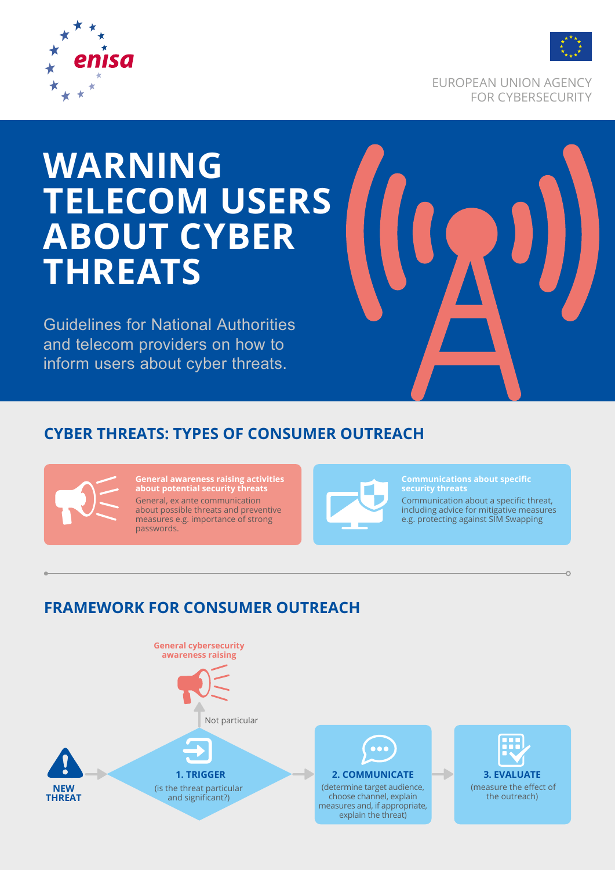

EUROPEAN UNION AGENCY FOR CYBERSECURITY

## **WARNING TELECOM USERS ABOUT CYBER THREATS**

Guidelines for National Authorities and telecom providers on how to inform users about cyber threats.



## **CYBER THREATS: TYPES OF CONSUMER OUTREACH**



**General awareness raising activities about potential security threats** General, ex ante communication about possible threats and preventive measures e.g. importance of strong passwords.



**Communications about specific security threats**

Communication about a specific threat, including advice for mitigative measures e.g. protecting against SIM Swapping

## **FRAMEWORK FOR CONSUMER OUTREACH**